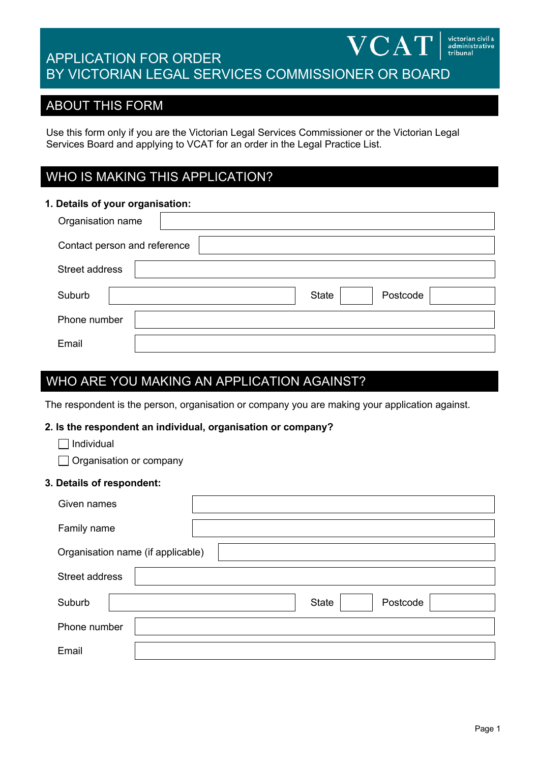#### **VCAT** administrative<br>tribunal APPLICATION FOR ORDER BY VICTORIAN LEGAL SERVICES COMMISSIONER OR BOARD

## ABOUT THIS FORM

Use this form only if you are the Victorian Legal Services Commissioner or the Victorian Legal Services Board and applying to VCAT for an order in the Legal Practice List.

# WHO IS MAKING THIS APPLICATION?

# **1. Details of your organisation:** Organisation name Contact person and reference Street address Suburb | State | Postcode | State | Postcode | Phone number Email

# WHO ARE YOU MAKING AN APPLICATION AGAINST?

The respondent is the person, organisation or company you are making your application against.

#### **2. Is the respondent an individual, organisation or company?**

- $\Box$  Individual
- Organisation or company
- **3. Details of respondent:**

| Given names                       |                          |  |  |  |  |
|-----------------------------------|--------------------------|--|--|--|--|
| Family name                       |                          |  |  |  |  |
| Organisation name (if applicable) |                          |  |  |  |  |
| Street address                    |                          |  |  |  |  |
| Suburb                            | Postcode<br><b>State</b> |  |  |  |  |
| Phone number                      |                          |  |  |  |  |
| Email                             |                          |  |  |  |  |

victorian civil &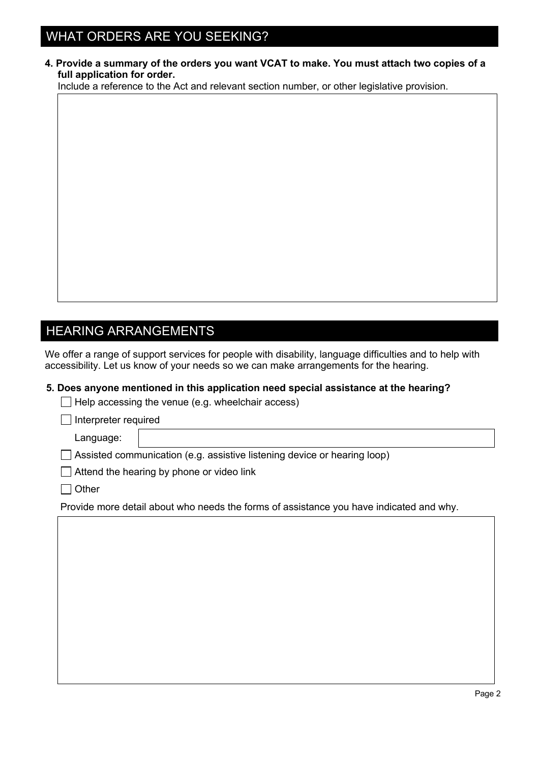# WHAT ORDERS ARE YOU SEEKING?

**4. Provide a summary of the orders you want VCAT to make. You must attach two copies of a full application for order.**

Include a reference to the Act and relevant section number, or other legislative provision.

# HEARING ARRANGEMENTS

We offer a range of support services for people with disability, language difficulties and to help with accessibility. Let us know of your needs so we can make arrangements for the hearing.

#### **5. Does anyone mentioned in this application need special assistance at the hearing?**

 $\Box$  Help accessing the venue (e.g. wheelchair access)

Interpreter required

Language:

□ Assisted communication (e.g. assistive listening device or hearing loop)

 $\Box$  Attend the hearing by phone or video link

 $\Box$  Other

Provide more detail about who needs the forms of assistance you have indicated and why.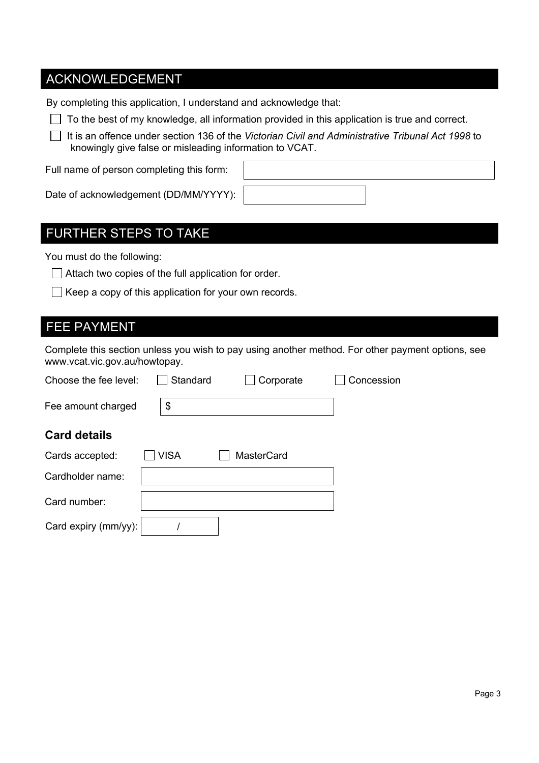# ACKNOWLEDGEMENT

By completing this application, I understand and acknowledge that:

 $\Box$  To the best of my knowledge, all information provided in this application is true and correct.

 It is an offence under section 136 of the *Victorian Civil and Administrative Tribunal Act 1998* to knowingly give false or misleading information to VCAT.

Full name of person completing this form:

| Date of acknowledgement (DD/MM/YYYY): |  |  |
|---------------------------------------|--|--|

#### FURTHER STEPS TO TAKE

You must do the following:

 $\Box$  Attach two copies of the full application for order.

 $\Box$  Keep a copy of this application for your own records.

### FEE PAYMENT

Complete this section unless you wish to pay using another method. For other payment options, see www.vcat.vic.gov.au/howtopay.

| Choose the fee level: | Standard    | Corporate         | Concession |
|-----------------------|-------------|-------------------|------------|
| Fee amount charged    | \$          |                   |            |
| <b>Card details</b>   |             |                   |            |
| Cards accepted:       | <b>VISA</b> | <b>MasterCard</b> |            |
| Cardholder name:      |             |                   |            |
| Card number:          |             |                   |            |
| Card expiry (mm/yy):  |             |                   |            |